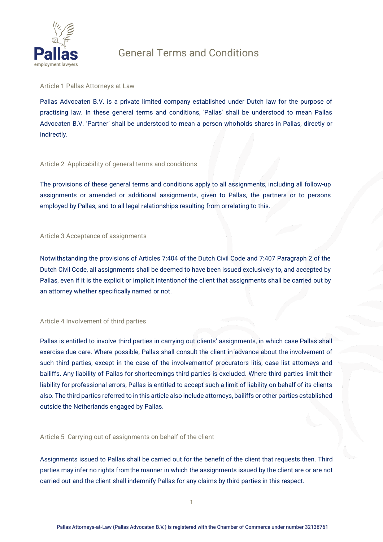

**Article 1 Pallas Attorneys at Law**

Pallas Advocaten B.V. is a private limited company established under Dutch law for the purpose of practising law. In these general terms and conditions, 'Pallas' shall be understood to mean Pallas Advocaten B.V. 'Partner' shall be understood to mean a person whoholds shares in Pallas, directly or indirectly.

### **Article 2 Applicability of general terms and conditions**

The provisions of these general terms and conditions apply to all assignments, including all follow-up assignments or amended or additional assignments, given to Pallas, the partners or to persons employed by Pallas, and to all legal relationships resulting from orrelating to this.

### **Article 3 Acceptance of assignments**

Notwithstanding the provisions of Articles 7:404 of the Dutch Civil Code and 7:407 Paragraph 2 of the Dutch Civil Code, all assignments shall be deemed to have been issued exclusively to, and accepted by Pallas, even if it is the explicit or implicit intentionof the client that assignments shall be carried out by an attorney whether specifically named or not.

### **Article 4 Involvement of third parties**

Pallas is entitled to involve third parties in carrying out clients' assignments, in which case Pallas shall exercise due care. Where possible, Pallas shall consult the client in advance about the involvement of such third parties, except in the case of the involvementof procurators litis, case list attorneys and bailiffs. Any liability of Pallas for shortcomings third parties is excluded. Where third parties limit their liability for professional errors, Pallas is entitled to accept such a limit of liability on behalf of its clients also. The third parties referred to in this article also include attorneys, bailiffs or other parties established outside the Netherlands engaged by Pallas.

**Article 5 Carrying out of assignments on behalf of the client**

Assignments issued to Pallas shall be carried out for the benefit of the client that requests then. Third parties may infer no rights fromthe manner in which the assignments issued by the client are or are not carried out and the client shall indemnify Pallas for any claims by third parties in this respect.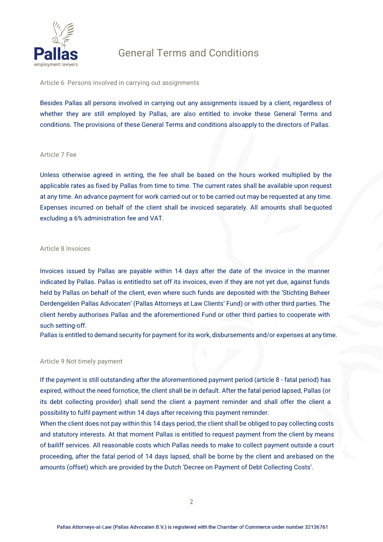

**Article 6 Persons involved in carrying out assignments**

Besides Pallas all persons involved in carrying out any assignments issued by a client, regardless of whether they are still employed by Pallas, are also entitled to invoke these General Terms and conditions. The provisions of these General Terms and conditions alsoapply to the directors of Pallas.

#### **Article 7 Fee**

Unless otherwise agreed in writing, the fee shall be based on the hours worked multiplied by the applicable rates as fixed by Pallas from time to time. The current rates shall be available upon request at any time. An advance payment for work carried out or to be carried out may be requested at any time. Expenses incurred on behalf of the client shall be invoiced separately. All amounts shall bequoted excluding a 6% administration fee and VAT.

#### **Article 8 Invoices**

Invoices issued by Pallas are payable within 14 days after the date of the invoice in the manner indicated by Pallas. Pallas is entitledto set off its invoices, even if they are not yet due, against funds held by Pallas on behalf of the client, even where such funds are deposited with the 'Stichting Beheer Derdengelden Pallas Advocaten' (Pallas Attorneys at Law Clients' Fund) or with other third parties. The client hereby authorises Pallas and the aforementioned Fund or other third parties to cooperate with such setting-off.

Pallas is entitled to demand security for payment for its work, disbursements and/or expenses at any time.

#### **Article 9 Not timely payment**

If the payment is still outstanding after the aforementioned payment period (article 8 - fatal period) has expired, without the need fornotice, the client shall be in default. After the fatal period lapsed, Pallas (or its debt collecting provider) shall send the client a payment reminder and shall offer the client a possibility to fulfil payment within 14 days after receiving this payment reminder.

When the client does not pay within this 14 days period, the client shall be obliged to pay collecting costs and statutory interests. At that moment Pallas is entitled to request payment from the client by means of bailiff services. All reasonable costs which Pallas needs to make to collect payment outside a court proceeding, after the fatal period of 14 days lapsed, shall be borne by the client and arebased on the amounts (offset) which are provided by the Dutch 'Decree on Payment of Debt Collecting Costs'.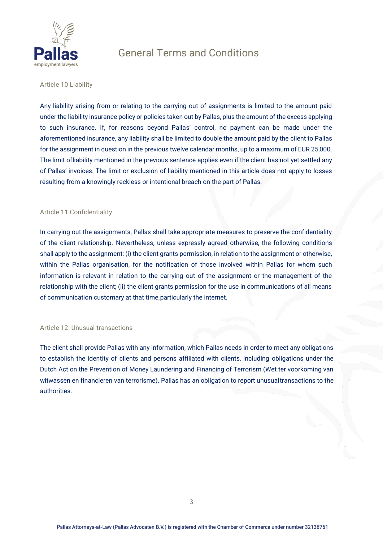

### **Article 10 Liability**

Any liability arising from or relating to the carrying out of assignments is limited to the amount paid under the liability insurance policy or policies taken out by Pallas, plus the amount of the excess applying to such insurance. If, for reasons beyond Pallas' control, no payment can be made under the aforementioned insurance, any liability shall be limited to double the amount paid by the client to Pallas for the assignment in question in the previous twelve calendar months, up to a maximum of EUR 25,000. The limit ofliability mentioned in the previous sentence applies even if the client has not yet settled any of Pallas' invoices. The limit or exclusion of liability mentioned in this article does not apply to losses resulting from a knowingly reckless or intentional breach on the part of Pallas.

#### **Article 11 Confidentiality**

In carrying out the assignments, Pallas shall take appropriate measures to preserve the confidentiality of the client relationship. Nevertheless, unless expressly agreed otherwise, the following conditions shall apply to the assignment: (i) the client grants permission, in relation to the assignment or otherwise, within the Pallas organisation, for the notification of those involved within Pallas for whom such information is relevant in relation to the carrying out of the assignment or the management of the relationship with the client; (ii) the client grants permission for the use in communications of all means of communication customary at that time,particularly the internet.

### **Article 12 Unusual transactions**

The client shall provide Pallas with any information, which Pallas needs in order to meet any obligations to establish the identity of clients and persons affiliated with clients, including obligations under the Dutch Act on the Prevention of Money Laundering and Financing of Terrorism (Wet ter voorkoming van witwassen en financieren van terrorisme). Pallas has an obligation to report unusualtransactions to the authorities.